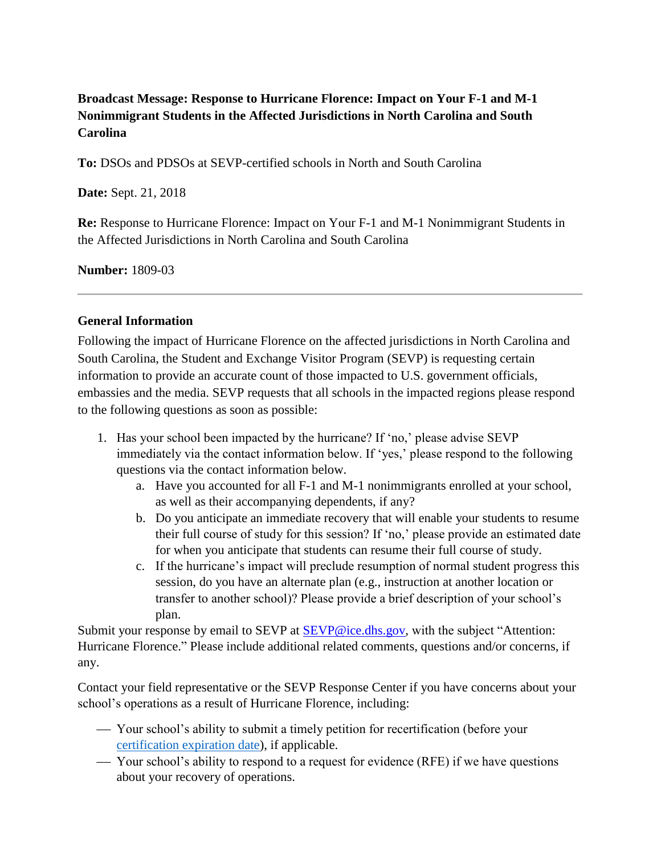## **Broadcast Message: Response to Hurricane Florence: Impact on Your F-1 and M-1 Nonimmigrant Students in the Affected Jurisdictions in North Carolina and South Carolina**

**To:** DSOs and PDSOs at SEVP-certified schools in North and South Carolina

**Date:** Sept. 21, 2018

**Re:** Response to Hurricane Florence: Impact on Your F-1 and M-1 Nonimmigrant Students in the Affected Jurisdictions in North Carolina and South Carolina

**Number:** 1809-03

## **General Information**

Following the impact of Hurricane Florence on the affected jurisdictions in North Carolina and South Carolina, the Student and Exchange Visitor Program (SEVP) is requesting certain information to provide an accurate count of those impacted to U.S. government officials, embassies and the media. SEVP requests that all schools in the impacted regions please respond to the following questions as soon as possible:

- 1. Has your school been impacted by the hurricane? If 'no,' please advise SEVP immediately via the contact information below. If 'yes,' please respond to the following questions via the contact information below.
	- a. Have you accounted for all F-1 and M-1 nonimmigrants enrolled at your school, as well as their accompanying dependents, if any?
	- b. Do you anticipate an immediate recovery that will enable your students to resume their full course of study for this session? If 'no,' please provide an estimated date for when you anticipate that students can resume their full course of study.
	- c. If the hurricane's impact will preclude resumption of normal student progress this session, do you have an alternate plan (e.g., instruction at another location or transfer to another school)? Please provide a brief description of your school's plan.

Submit your response by email to SEVP at **SEVP@ice.dhs.gov**, with the subject "Attention: Hurricane Florence." Please include additional related comments, questions and/or concerns, if any.

Contact your field representative or the SEVP Response Center if you have concerns about your school's operations as a result of Hurricane Florence, including:

- Your school's ability to submit a timely petition for recertification (before your [certification expiration date\)](https://studyinthestates.dhs.gov/getting-started-with-sevp-recertification), if applicable.
- Your school's ability to respond to a request for evidence (RFE) if we have questions about your recovery of operations.